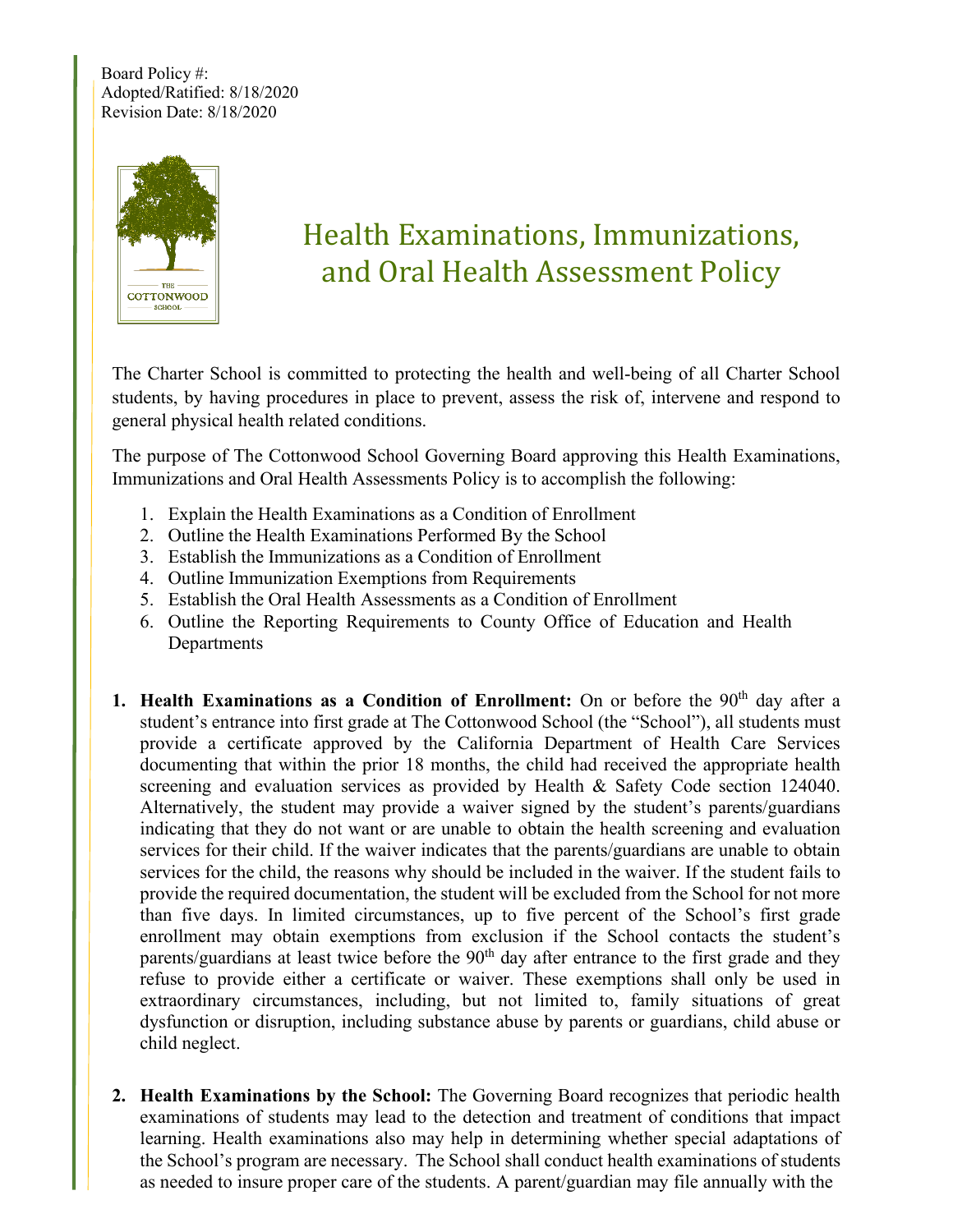Board Policy #: Adopted/Ratified: 8/18/2020 Revision Date: 8/18/2020



# Health Examinations, Immunizations, and Oral Health Assessment Policy

The Charter School is committed to protecting the health and well-being of all Charter School students, by having procedures in place to prevent, assess the risk of, intervene and respond to general physical health related conditions.

The purpose of The Cottonwood School Governing Board approving this Health Examinations, Immunizations and Oral Health Assessments Policy is to accomplish the following:

- 1. Explain the Health Examinations as a Condition of Enrollment
- 2. Outline the Health Examinations Performed By the School
- 3. Establish the Immunizations as a Condition of Enrollment
- 4. Outline Immunization Exemptions from Requirements
- 5. Establish the Oral Health Assessments as a Condition of Enrollment
- 6. Outline the Reporting Requirements to County Office of Education and Health **Departments**
- **1. Health Examinations as a Condition of Enrollment:** On or before the 90<sup>th</sup> day after a student's entrance into first grade at The Cottonwood School (the "School"), all students must provide a certificate approved by the California Department of Health Care Services documenting that within the prior 18 months, the child had received the appropriate health screening and evaluation services as provided by Health & Safety Code section 124040. Alternatively, the student may provide a waiver signed by the student's parents/guardians indicating that they do not want or are unable to obtain the health screening and evaluation services for their child. If the waiver indicates that the parents/guardians are unable to obtain services for the child, the reasons why should be included in the waiver. If the student fails to provide the required documentation, the student will be excluded from the School for not more than five days. In limited circumstances, up to five percent of the School's first grade enrollment may obtain exemptions from exclusion if the School contacts the student's parents/guardians at least twice before the 90<sup>th</sup> day after entrance to the first grade and they refuse to provide either a certificate or waiver. These exemptions shall only be used in extraordinary circumstances, including, but not limited to, family situations of great dysfunction or disruption, including substance abuse by parents or guardians, child abuse or child neglect.
- **2. Health Examinations by the School:** The Governing Board recognizes that periodic health examinations of students may lead to the detection and treatment of conditions that impact learning. Health examinations also may help in determining whether special adaptations of the School's program are necessary. The School shall conduct health examinations of students as needed to insure proper care of the students. A parent/guardian may file annually with the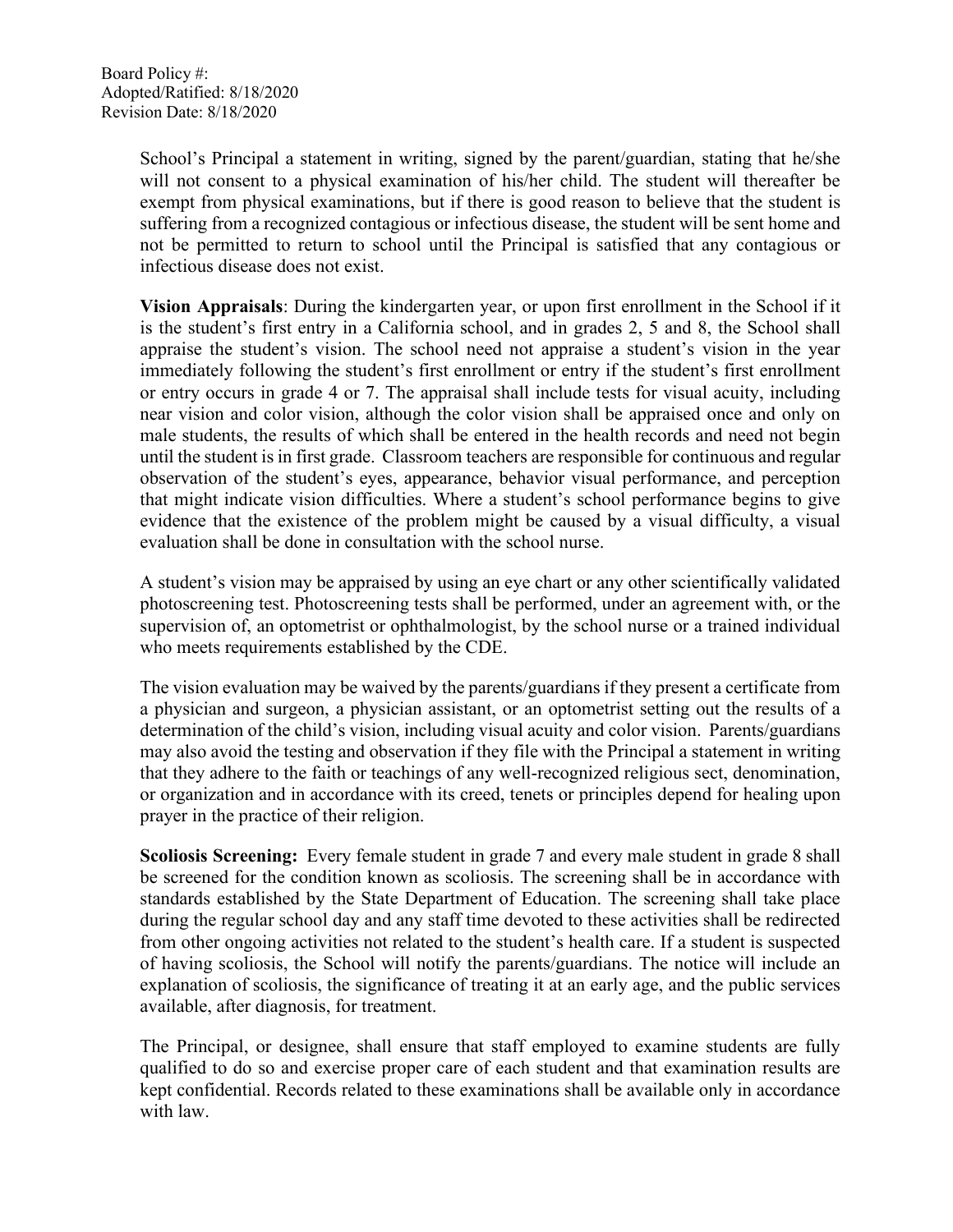School's Principal a statement in writing, signed by the parent/guardian, stating that he/she will not consent to a physical examination of his/her child. The student will thereafter be exempt from physical examinations, but if there is good reason to believe that the student is suffering from a recognized contagious or infectious disease, the student will be sent home and not be permitted to return to school until the Principal is satisfied that any contagious or infectious disease does not exist.

**Vision Appraisals**: During the kindergarten year, or upon first enrollment in the School if it is the student's first entry in a California school, and in grades 2, 5 and 8, the School shall appraise the student's vision. The school need not appraise a student's vision in the year immediately following the student's first enrollment or entry if the student's first enrollment or entry occurs in grade 4 or 7. The appraisal shall include tests for visual acuity, including near vision and color vision, although the color vision shall be appraised once and only on male students, the results of which shall be entered in the health records and need not begin until the student is in first grade. Classroom teachers are responsible for continuous and regular observation of the student's eyes, appearance, behavior visual performance, and perception that might indicate vision difficulties. Where a student's school performance begins to give evidence that the existence of the problem might be caused by a visual difficulty, a visual evaluation shall be done in consultation with the school nurse.

A student's vision may be appraised by using an eye chart or any other scientifically validated photoscreening test. Photoscreening tests shall be performed, under an agreement with, or the supervision of, an optometrist or ophthalmologist, by the school nurse or a trained individual who meets requirements established by the CDE.

The vision evaluation may be waived by the parents/guardians if they present a certificate from a physician and surgeon, a physician assistant, or an optometrist setting out the results of a determination of the child's vision, including visual acuity and color vision. Parents/guardians may also avoid the testing and observation if they file with the Principal a statement in writing that they adhere to the faith or teachings of any well-recognized religious sect, denomination, or organization and in accordance with its creed, tenets or principles depend for healing upon prayer in the practice of their religion.

**Scoliosis Screening:** Every female student in grade 7 and every male student in grade 8 shall be screened for the condition known as scoliosis. The screening shall be in accordance with standards established by the State Department of Education. The screening shall take place during the regular school day and any staff time devoted to these activities shall be redirected from other ongoing activities not related to the student's health care. If a student is suspected of having scoliosis, the School will notify the parents/guardians. The notice will include an explanation of scoliosis, the significance of treating it at an early age, and the public services available, after diagnosis, for treatment.

The Principal, or designee, shall ensure that staff employed to examine students are fully qualified to do so and exercise proper care of each student and that examination results are kept confidential. Records related to these examinations shall be available only in accordance with law.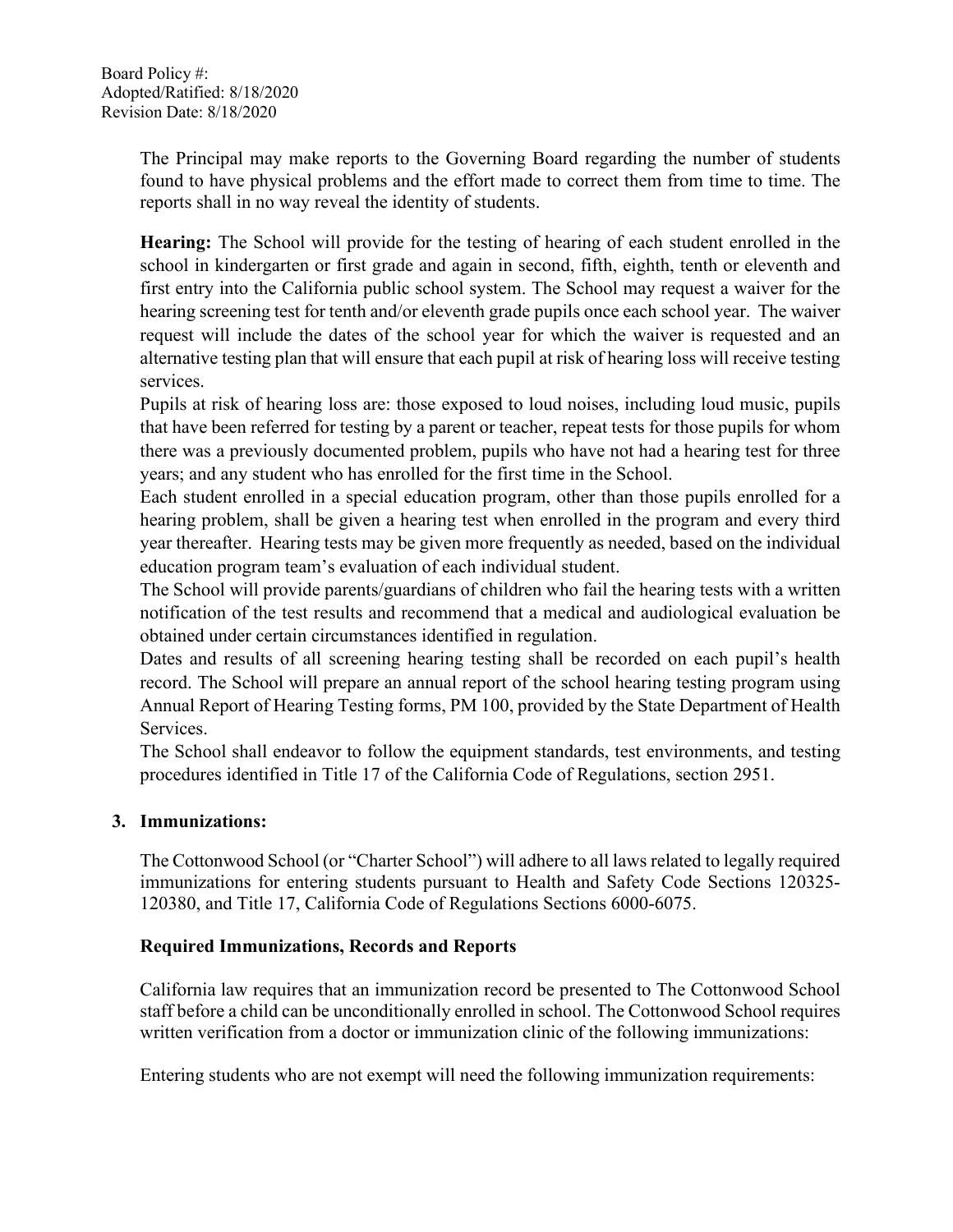The Principal may make reports to the Governing Board regarding the number of students found to have physical problems and the effort made to correct them from time to time. The reports shall in no way reveal the identity of students.

**Hearing:** The School will provide for the testing of hearing of each student enrolled in the school in kindergarten or first grade and again in second, fifth, eighth, tenth or eleventh and first entry into the California public school system. The School may request a waiver for the hearing screening test for tenth and/or eleventh grade pupils once each school year. The waiver request will include the dates of the school year for which the waiver is requested and an alternative testing plan that will ensure that each pupil at risk of hearing loss will receive testing services.

Pupils at risk of hearing loss are: those exposed to loud noises, including loud music, pupils that have been referred for testing by a parent or teacher, repeat tests for those pupils for whom there was a previously documented problem, pupils who have not had a hearing test for three years; and any student who has enrolled for the first time in the School.

Each student enrolled in a special education program, other than those pupils enrolled for a hearing problem, shall be given a hearing test when enrolled in the program and every third year thereafter. Hearing tests may be given more frequently as needed, based on the individual education program team's evaluation of each individual student.

The School will provide parents/guardians of children who fail the hearing tests with a written notification of the test results and recommend that a medical and audiological evaluation be obtained under certain circumstances identified in regulation.

Dates and results of all screening hearing testing shall be recorded on each pupil's health record. The School will prepare an annual report of the school hearing testing program using Annual Report of Hearing Testing forms, PM 100, provided by the State Department of Health Services.

The School shall endeavor to follow the equipment standards, test environments, and testing procedures identified in Title 17 of the California Code of Regulations, section 2951.

## **3. Immunizations:**

The Cottonwood School (or "Charter School") will adhere to all laws related to legally required immunizations for entering students pursuant to Health and Safety Code Sections 120325- 120380, and Title 17, California Code of Regulations Sections 6000-6075.

## **Required Immunizations, Records and Reports**

California law requires that an immunization record be presented to The Cottonwood School staff before a child can be unconditionally enrolled in school. The Cottonwood School requires written verification from a doctor or immunization clinic of the following immunizations:

Entering students who are not exempt will need the following immunization requirements: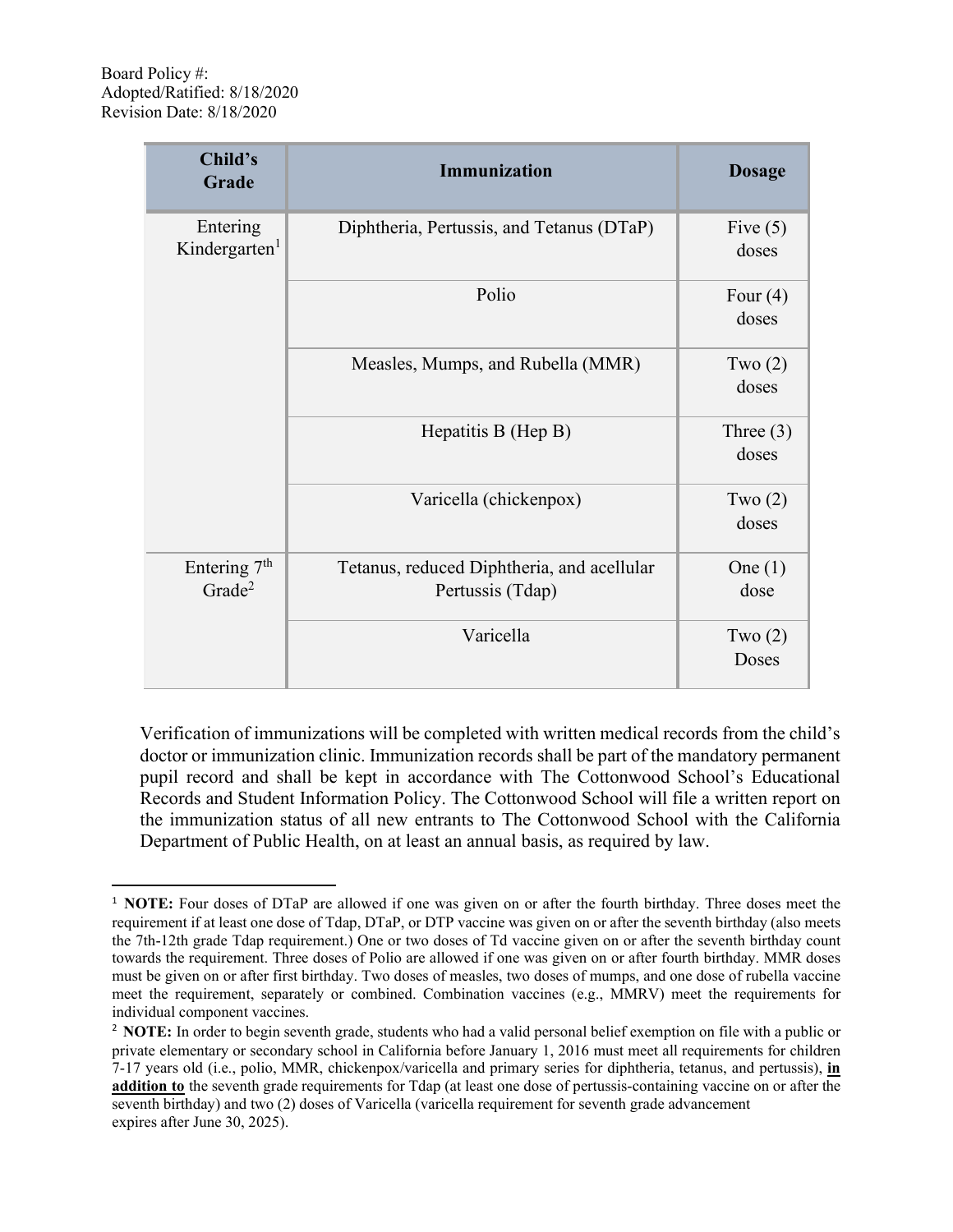| Child's<br>Grade                               | <b>Immunization</b>                                            | <b>Dosage</b>        |
|------------------------------------------------|----------------------------------------------------------------|----------------------|
| Entering<br>Kindergarten <sup>1</sup>          | Diphtheria, Pertussis, and Tetanus (DTaP)                      | Five $(5)$<br>doses  |
|                                                | Polio                                                          | Four $(4)$<br>doses  |
|                                                | Measles, Mumps, and Rubella (MMR)                              | Two $(2)$<br>doses   |
|                                                | Hepatitis B (Hep B)                                            | Three $(3)$<br>doses |
|                                                | Varicella (chickenpox)                                         | Two $(2)$<br>doses   |
| Entering 7 <sup>th</sup><br>Grade <sup>2</sup> | Tetanus, reduced Diphtheria, and acellular<br>Pertussis (Tdap) | One $(1)$<br>dose    |
|                                                | Varicella                                                      | Two $(2)$<br>Doses   |

Verification of immunizations will be completed with written medical records from the child's doctor or immunization clinic. Immunization records shall be part of the mandatory permanent pupil record and shall be kept in accordance with The Cottonwood School's Educational Records and Student Information Policy. The Cottonwood School will file a written report on the immunization status of all new entrants to The Cottonwood School with the California Department of Public Health, on at least an annual basis, as required by law.

<sup>&</sup>lt;sup>1</sup> **NOTE:** Four doses of DTaP are allowed if one was given on or after the fourth birthday. Three doses meet the requirement if at least one dose of Tdap, DTaP, or DTP vaccine was given on or after the seventh birthday (also meets the 7th-12th grade Tdap requirement.) One or two doses of Td vaccine given on or after the seventh birthday count towards the requirement. Three doses of Polio are allowed if one was given on or after fourth birthday. MMR doses must be given on or after first birthday. Two doses of measles, two doses of mumps, and one dose of rubella vaccine meet the requirement, separately or combined. Combination vaccines (e.g., MMRV) meet the requirements for individual component vaccines.

<sup>2</sup> **NOTE:** In order to begin seventh grade, students who had a valid personal belief exemption on file with a public or private elementary or secondary school in California before January 1, 2016 must meet all requirements for children 7-17 years old (i.e., polio, MMR, chickenpox/varicella and primary series for diphtheria, tetanus, and pertussis), **in addition to** the seventh grade requirements for Tdap (at least one dose of pertussis-containing vaccine on or after the seventh birthday) and two (2) doses of Varicella (varicella requirement for seventh grade advancement expires after June 30, 2025).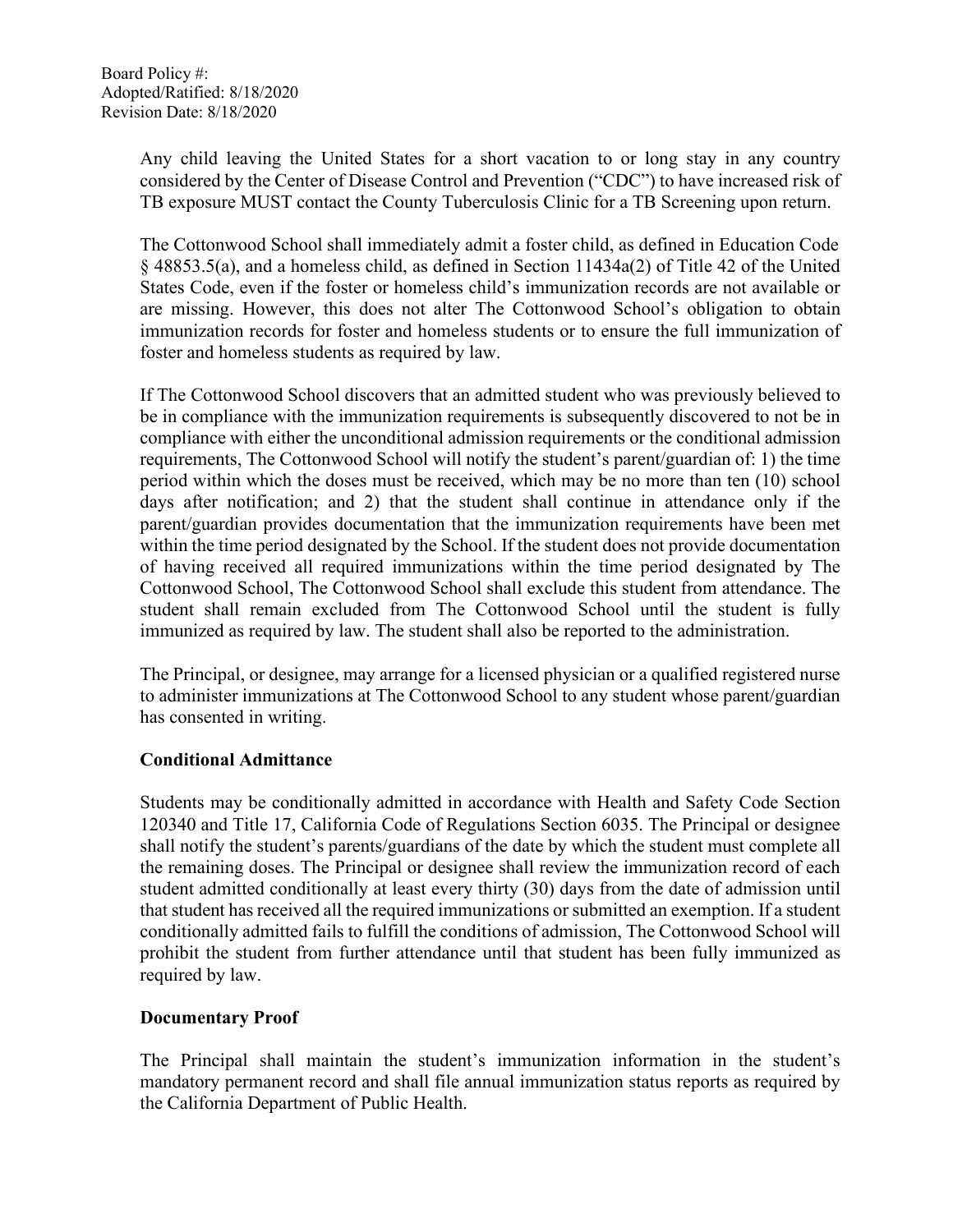Any child leaving the United States for a short vacation to or long stay in any country considered by the Center of Disease Control and Prevention ("CDC") to have increased risk of TB exposure MUST contact the County Tuberculosis Clinic for a TB Screening upon return.

The Cottonwood School shall immediately admit a foster child, as defined in Education Code § 48853.5(a), and a homeless child, as defined in Section 11434a(2) of Title 42 of the United States Code, even if the foster or homeless child's immunization records are not available or are missing. However, this does not alter The Cottonwood School's obligation to obtain immunization records for foster and homeless students or to ensure the full immunization of foster and homeless students as required by law.

If The Cottonwood School discovers that an admitted student who was previously believed to be in compliance with the immunization requirements is subsequently discovered to not be in compliance with either the unconditional admission requirements or the conditional admission requirements, The Cottonwood School will notify the student's parent/guardian of: 1) the time period within which the doses must be received, which may be no more than ten (10) school days after notification; and 2) that the student shall continue in attendance only if the parent/guardian provides documentation that the immunization requirements have been met within the time period designated by the School. If the student does not provide documentation of having received all required immunizations within the time period designated by The Cottonwood School, The Cottonwood School shall exclude this student from attendance. The student shall remain excluded from The Cottonwood School until the student is fully immunized as required by law. The student shall also be reported to the administration.

The Principal, or designee, may arrange for a licensed physician or a qualified registered nurse to administer immunizations at The Cottonwood School to any student whose parent/guardian has consented in writing.

## **Conditional Admittance**

Students may be conditionally admitted in accordance with Health and Safety Code Section 120340 and Title 17, California Code of Regulations Section 6035. The Principal or designee shall notify the student's parents/guardians of the date by which the student must complete all the remaining doses. The Principal or designee shall review the immunization record of each student admitted conditionally at least every thirty (30) days from the date of admission until that student has received all the required immunizations or submitted an exemption. If a student conditionally admitted fails to fulfill the conditions of admission, The Cottonwood School will prohibit the student from further attendance until that student has been fully immunized as required by law.

## **Documentary Proof**

The Principal shall maintain the student's immunization information in the student's mandatory permanent record and shall file annual immunization status reports as required by the California Department of Public Health.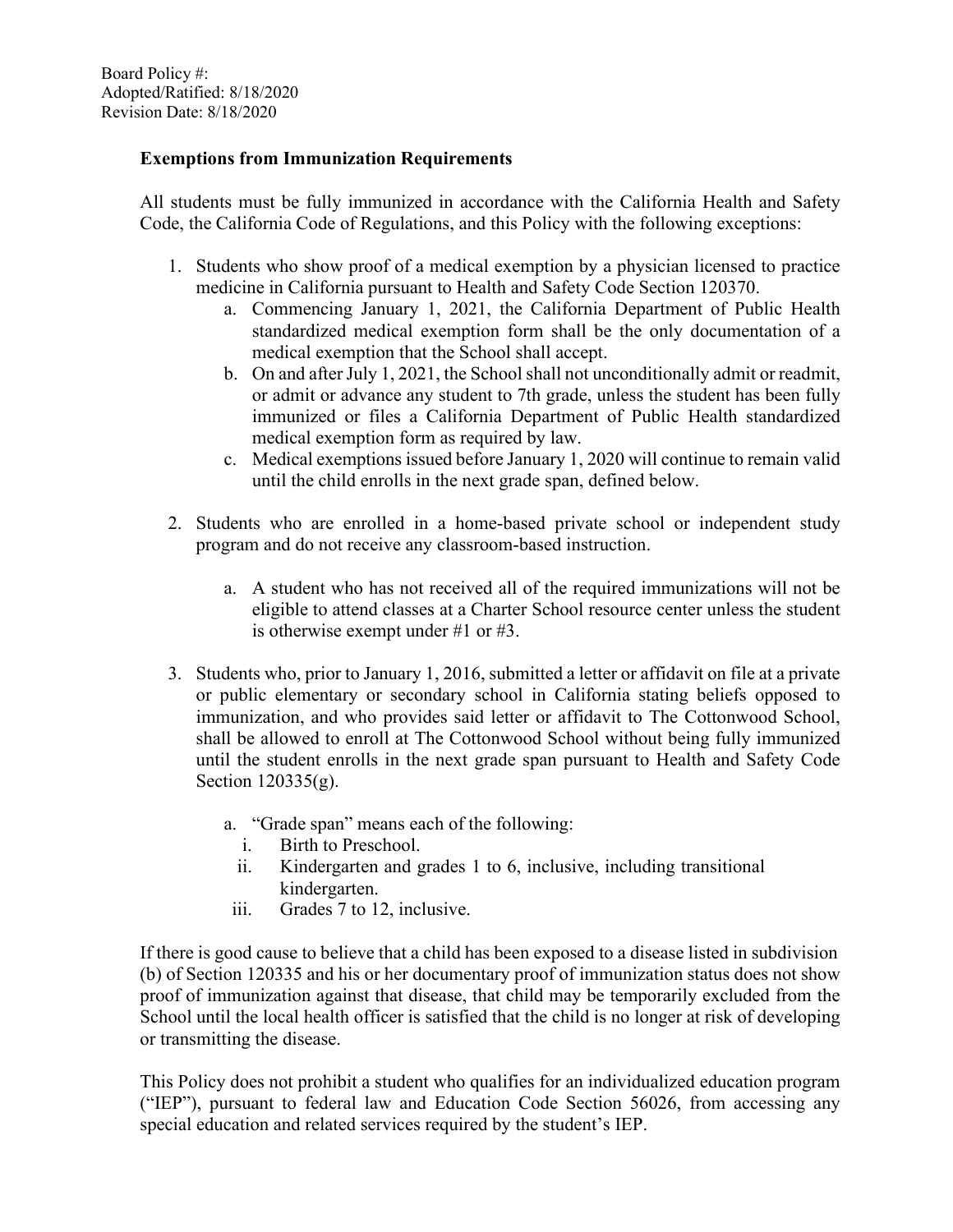## **Exemptions from Immunization Requirements**

All students must be fully immunized in accordance with the California Health and Safety Code, the California Code of Regulations, and this Policy with the following exceptions:

- 1. Students who show proof of a medical exemption by a physician licensed to practice medicine in California pursuant to Health and Safety Code Section 120370.
	- a. Commencing January 1, 2021, the California Department of Public Health standardized medical exemption form shall be the only documentation of a medical exemption that the School shall accept.
	- b. On and after July 1, 2021, the School shall not unconditionally admit or readmit, or admit or advance any student to 7th grade, unless the student has been fully immunized or files a California Department of Public Health standardized medical exemption form as required by law.
	- c. Medical exemptions issued before January 1, 2020 will continue to remain valid until the child enrolls in the next grade span, defined below.
- 2. Students who are enrolled in a home-based private school or independent study program and do not receive any classroom-based instruction.
	- a. A student who has not received all of the required immunizations will not be eligible to attend classes at a Charter School resource center unless the student is otherwise exempt under #1 or #3.
- 3. Students who, prior to January 1, 2016, submitted a letter or affidavit on file at a private or public elementary or secondary school in California stating beliefs opposed to immunization, and who provides said letter or affidavit to The Cottonwood School, shall be allowed to enroll at The Cottonwood School without being fully immunized until the student enrolls in the next grade span pursuant to Health and Safety Code Section 120335(g).
	- a. "Grade span" means each of the following:
		- i. Birth to Preschool.
		- ii. Kindergarten and grades 1 to 6, inclusive, including transitional kindergarten.
	- iii. Grades 7 to 12, inclusive.

If there is good cause to believe that a child has been exposed to a disease listed in subdivision (b) of Section 120335 and his or her documentary proof of immunization status does not show proof of immunization against that disease, that child may be temporarily excluded from the School until the local health officer is satisfied that the child is no longer at risk of developing or transmitting the disease.

This Policy does not prohibit a student who qualifies for an individualized education program ("IEP"), pursuant to federal law and Education Code Section 56026, from accessing any special education and related services required by the student's IEP.